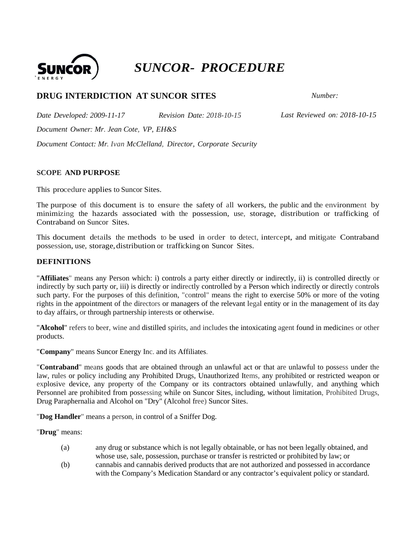

# *SUNCOR- PROCEDURE*

# **DRUG INTERDICTION AT SUNCOR SITES** *Number:*

*Date Developed: 2009-11-17 Revision Date: 2018-10-15 Last Reviewed on: 2018-10-15*

*Document Owner: Mr. Jean Cote, VP, EH&S*

*Document Contact: Mr. Ivan McClelland, Director, Corporate Security*

# **SCOPE AND PURPOSE**

This procedure applies to Suncor Sites.

The purpose of this document is to ensure the safety of all workers, the public and the environment by minimizing the hazards associated with the possession, use, storage, distribution or trafficking of Contraband on Suncor Sites.

This document details the methods to be used in order to detect, intercept, and mitigate Contraband possession, use, storage,distribution or trafficking on Suncor Sites.

# **DEFINITIONS**

"**Affiliates**" means any Person which: i) controls a party either directly or indirectly, ii) is controlled directly or indirectly by such party or, iii) is directly or indirectly controlled by a Person which indirectly or directly controls such party. For the purposes of this definition, "control" means the right to exercise 50% or more of the voting rights in the appointment of the directors or managers of the relevant legal entity or in the management of its day to day affairs, or through partnership interests or otherwise.

"**Alcohol**" refers to beer, wine and distilled spirits, and includes the intoxicating agent found in medicines or other products.

"**Company**" means Suncor Energy Inc. and its Affiliates.

"**Contraband**" means goods that are obtained through an unlawful act or that are unlawful to possess under the law, rules or policy including any Prohibited Drugs, Unauthorized Items, any prohibited or restricted weapon or explosive device, any property of the Company or its contractors obtained unlawfully, and anything which Personnel are prohibited from possessing while on Suncor Sites, including, without limitation, Prohibited Drugs, Drug Paraphernalia and Alcohol on "Dry" (Alcohol free) Suncor Sites.

"**Dog Handler**" means a person, in control of a Sniffer Dog.

"**Drug**" means:

- (a) any drug or substance which is not legally obtainable, or has not been legally obtained, and whose use, sale, possession, purchase or transfer is restricted or prohibited by law; or
- (b) cannabis and cannabis derived products that are not authorized and possessed in accordance with the Company's Medication Standard or any contractor's equivalent policy or standard.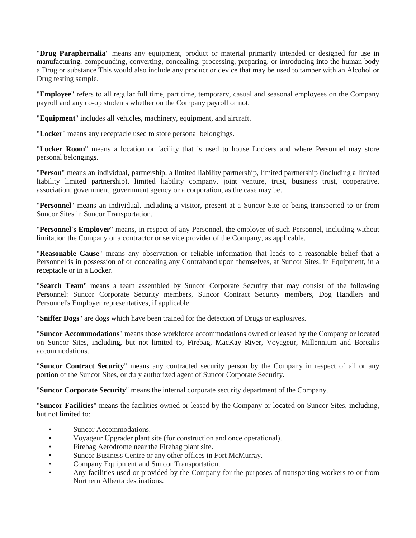"**Drug Paraphernalia**" means any equipment, product or material primarily intended or designed for use in manufacturing, compounding, converting, concealing, processing, preparing, or introducing into the human body a Drug or substance This would also include any product or device that may be used to tamper with an Alcohol or Drug testing sample.

"**Employee**" refers to all regular full time, part time, temporary, casual and seasonal employees on the Company payroll and any co-op students whether on the Company payroll or not.

"**Equipment**" includes all vehicles, machinery, equipment, and aircraft.

"**Locker**" means any receptacle used to store personal belongings.

"**Locker Room**" means a location or facility that is used to house Lockers and where Personnel may store personal belongings.

"**Person**" means an individual, partnership, a limited liability partnership, limited partnership (including a limited liability limited partnership), limited liability company, joint venture, trust, business trust, cooperative, association, government, government agency or a corporation, as the case may be.

"**Personnel**" means an individual, including a visitor, present at a Suncor Site or being transported to or from Suncor Sites in Suncor Transportation.

"**Personnel's Employer**" means, in respect of any Personnel, the employer of such Personnel, including without limitation the Company or a contractor or service provider of the Company, as applicable.

"**Reasonable Cause**" means any observation or reliable information that leads to a reasonable belief that a Personnel is in possession of or concealing any Contraband upon themselves, at Suncor Sites, in Equipment, in a receptacle or in a Locker.

"**Search Team**" means a team assembled by Suncor Corporate Security that may consist of the following Personnel: Suncor Corporate Security members, Suncor Contract Security members, Dog Handlers and Personnel's Employer representatives, if applicable.

"**Sniffer Dogs**" are dogs which have been trained for the detection of Drugs or explosives.

"**Suncor Accommodations**" means those workforce accommodations owned or leased by the Company or located on Suncor Sites, including, but not limited to, Firebag, MacKay River, Voyageur, Millennium and Borealis accommodations.

"**Suncor Contract Security**" means any contracted security person by the Company in respect of all or any portion of the Suncor Sites, or duly authorized agent of Suncor Corporate Security.

"**Suncor Corporate Security**" means the internal corporate security department of the Company.

"**Suncor Facilities**" means the facilities owned or leased by the Company or located on Suncor Sites, including, but not limited to:

- Suncor Accommodations.
- Voyageur Upgrader plant site (for construction and once operational).
- Firebag Aerodrome near the Firebag plant site.
- Suncor Business Centre or any other offices in Fort McMurray.
- Company Equipment and Suncor Transportation.
- Any facilities used or provided by the Company for the purposes of transporting workers to or from Northern Alberta destinations.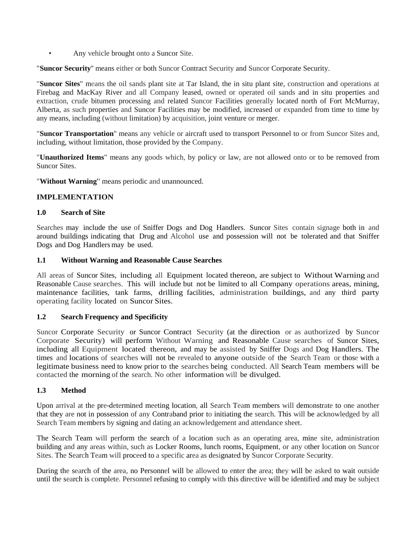• Any vehicle brought onto a Suncor Site.

"**Suncor Security**'' means either or both Suncor Contract Security and Suncor Corporate Security.

"**Suncor Sites**" means the oil sands plant site at Tar Island, the in situ plant site, construction and operations at Firebag and MacKay River and all Company leased, owned or operated oil sands and in situ properties and extraction, crude bitumen processing and related Suncor Facilities generally located north of Fort McMurray, Alberta, as such properties and Suncor Facilities may be modified, increased or expanded from time to time by any means, including (without limitation) by acquisition, joint venture or merger.

"**Suncor Transportation**" means any vehicle or aircraft used to transport Personnel to or from Suncor Sites and, including, without limitation, those provided by the Company.

"**Unauthorized Items**" means any goods which, by policy or law, are not allowed onto or to be removed from Suncor Sites.

"**Without Warning'**' means periodic and unannounced.

### **IMPLEMENTATION**

#### **1.0 Search of Site**

Searches may include the use of Sniffer Dogs and Dog Handlers. Suncor Sites contain signage both in and around buildings indicating that Drug and Alcohol use and possession will not be tolerated and that Sniffer Dogs and Dog Handlers may be used.

#### **1.1 Without Warning and Reasonable Cause Searches**

All areas of Suncor Sites, including all Equipment located thereon, are subject to Without Warning and Reasonable Cause searches. This will include but not be limited to all Company operations areas, mining, maintenance facilities, tank farms, drilling facilities, administration buildings, and any third party operating facility located on Suncor Sites.

#### **1.2 Search Frequency and Specificity**

Suncor Corporate Security or Suncor Contract Security (at the direction or as authorized by Suncor Corporate Security) will perform Without Warning and Reasonable Cause searches of Suncor Sites, including all Equipment located thereon, and may be assisted by Sniffer Dogs and Dog Handlers. The times and locations of searches will not be revealed to anyone outside of the Search Team or those with a legitimate business need to know prior to the searches being conducted. All Search Team members will be contacted the morning of the search. No other information will be divulged.

#### **1.3 Method**

Upon arrival at the pre-determined meeting location, all Search Team members will demonstrate to one another that they are not in possession of any Contraband prior to initiating the search. This will be acknowledged by all Search Team members by signing and dating an acknowledgement and attendance sheet.

The Search Team will perform the search of a location such as an operating area, mine site, administration building and any areas within, such as Locker Rooms, lunch rooms, Equipment, or any other location on Suncor Sites. The Search Team will proceed to a specific area as designated by Suncor Corporate Security.

During the search of the area, no Personnel will be allowed to enter the area; they will be asked to wait outside until the search is complete. Personnel refusing to comply with this directive will be identified and may be subject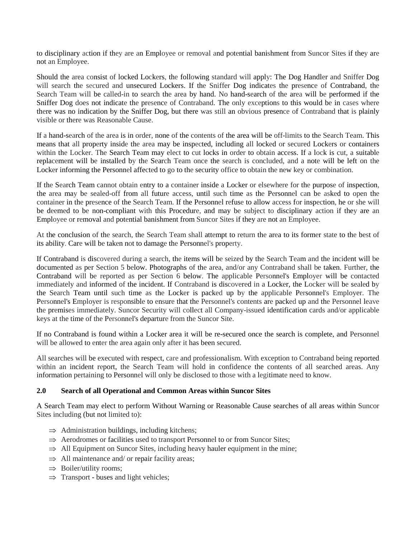to disciplinary action if they are an Employee or removal and potential banishment from Suncor Sites if they are not an Employee.

Should the area consist of locked Lockers, the following standard will apply: The Dog Handler and Sniffer Dog will search the secured and unsecured Lockers. If the Sniffer Dog indicates the presence of Contraband, the Search Team will be called-in to search the area by hand. No hand-search of the area will be performed if the Sniffer Dog does not indicate the presence of Contraband. The only exceptions to this would be in cases where there was no indication by the Sniffer Dog, but there was still an obvious presence of Contraband that is plainly visible or there was Reasonable Cause.

If a hand-search of the area is in order, none of the contents of the area will be off-limits to the Search Team. This means that all property inside the area may be inspected, including all locked or secured Lockers or containers within the Locker. The Search Team may elect to cut locks in order to obtain access. If a lock is cut, a suitable replacement will be installed by the Search Team once the search is concluded, and a note will be left on the Locker informing the Personnel affected to go to the security office to obtain the new key or combination.

If the Search Team cannot obtain entry to a container inside a Locker or elsewhere for the purpose of inspection, the area may be sealed-off from all future access, until such time as the Personnel can be asked to open the container in the presence of the Search Team. If the Personnel refuse to allow access for inspection, he or she will be deemed to be non-compliant with this Procedure, and may be subject to disciplinary action if they are an Employee or removal and potential banishment from Suncor Sites if they are not an Employee.

At the conclusion of the search, the Search Team shall attempt to return the area to its former state to the best of its ability. Care will be taken not to damage the Personnel's property.

If Contraband is discovered during a search, the items will be seized by the Search Team and the incident will be documented as per Section [5](#page-5-0) below. Photographs of the area, and/or any Contraband shall be taken. Further, the Contraband will be reported as per Section [6](#page-5-1) below. The applicable Personnel's Employer will be contacted immediately and informed of the incident. If Contraband is discovered in a Locker, the Locker will be sealed by the Search Team until such time as the Locker is packed up by the applicable Personnel's Employer. The Personnel's Employer is responsible to ensure that the Personnel's contents are packed up and the Personnel leave the premises immediately. Suncor Security will collect all Company-issued identification cards and/or applicable keys at the time of the Personnel's departure from the Suncor Site.

If no Contraband is found within a Locker area it will be re-secured once the search is complete, and Personnel will be allowed to enter the area again only after it has been secured.

All searches will be executed with respect, care and professionalism. With exception to Contraband being reported within an incident report, the Search Team will hold in confidence the contents of all searched areas. Any information pertaining to Personnel will only be disclosed to those with a legitimate need to know.

#### **2.0 Search of all Operational and Common Areas within Suncor Sites**

A Search Team may elect to perform Without Warning or Reasonable Cause searches of all areas within Suncor Sites including (but not limited to):

- $\Rightarrow$  Administration buildings, including kitchens;
- ⇒ Aerodromes or facilities used to transport Personnel to or from Suncor Sites;
- $\Rightarrow$  All Equipment on Suncor Sites, including heavy hauler equipment in the mine:
- $\Rightarrow$  All maintenance and/ or repair facility areas;
- $\Rightarrow$  Boiler/utility rooms;
- ⇒ Transport buses and light vehicles;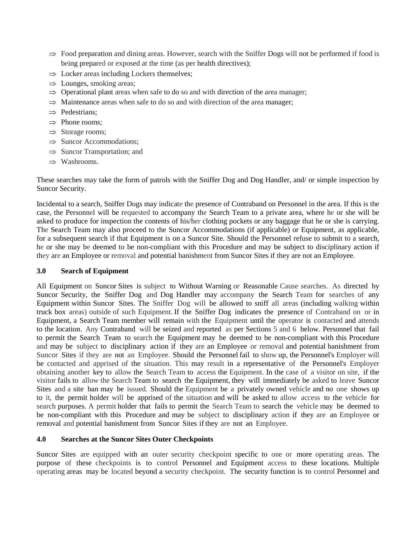- $\Rightarrow$  Food preparation and dining areas. However, search with the Sniffer Dogs will not be performed if food is being prepared or exposed at the time (as per health directives);
- $\Rightarrow$  Locker areas including Lockers themselves;
- $\Rightarrow$  Lounges, smoking areas;
- $\Rightarrow$  Operational plant areas when safe to do so and with direction of the area manager;
- $\Rightarrow$  Maintenance areas when safe to do so and with direction of the area manager;
- ⇒ Pedestrians;
- $\Rightarrow$  Phone rooms:
- $\Rightarrow$  Storage rooms;
- $\Rightarrow$  Suncor Accommodations:
- ⇒ Suncor Transportation; and
- ⇒ Washrooms.

These searches may take the form of patrols with the Sniffer Dog and Dog Handler, and/ or simple inspection by Suncor Security.

Incidental to a search, Sniffer Dogs may indicate the presence of Contraband on Personnel in the area. If this is the case, the Personnel will be requested to accompany the Search Team to a private area, where he or she will be asked to produce for inspection the contents of his/her clothing pockets or any baggage that he or she is carrying. The Search Team may also proceed to the Suncor Accommodations (if applicable) or Equipment, as applicable, for a subsequent search if that Equipment is on a Suncor Site. Should the Personnel refuse to submit to a search, he or she may be deemed to be non-compliant with this Procedure and may be subject to disciplinary action if they are an Employee or removal and potential banishment from Suncor Sites if they are not an Employee.

#### **3.0 Search of Equipment**

All Equipment on Suncor Sites is subject to Without Warning or Reasonable Cause searches. As directed by Suncor Security, the Sniffer Dog and Dog Handler may accompany the Search Team for searches of any Equipment within Suncor Sites. The Sniffer Dog will be allowed to sniff all areas (including walking within truck box areas) outside of such Equipment. If the Sniffer Dog indicates the presence of Contraband on or in Equipment, a Search Team member will remain with the Equipment until the operator is contacted and attends to the location. Any Contraband will be seized and reported as per Sections 5 and 6 below. Personnel that fail to permit the Search Team to search the Equipment may be deemed to be non-compliant with this Procedure and may be subject to disciplinary action if they are an Employee or removal and potential banishment from Suncor Sites if they are not an Employee. Should the Personnel fail to show up, the Personnel's Employer will be contacted and apprised of the situation. This may result in a representative of the Personnel's Employer obtaining another key to allow the Search Team to access the Equipment. In the case of a visitor on site, if the visitor fails to allow the Search Team to search the Equipment, they will immediately be asked to leave Suncor Sites and a site ban may be issued. Should the Equipment be a privately owned vehicle and no one shows up to it, the permit holder will be apprised of the situation and will be asked to allow access to the vehicle for search purposes. A permit holder that fails to permit the Search Team to search the vehicle may be deemed to be non-compliant with this Procedure and may be subject to disciplinary action if they are an Employee or removal and potential banishment from Suncor Sites if they are not an Employee.

#### **4.0 Searches at the Suncor Sites Outer Checkpoints**

Suncor Sites are equipped with an outer security checkpoint specific to one or more operating areas. The purpose of these checkpoints is to control Personnel and Equipment access to these locations. Multiple operating areas may be located beyond a security checkpoint. The security function is to control Personnel and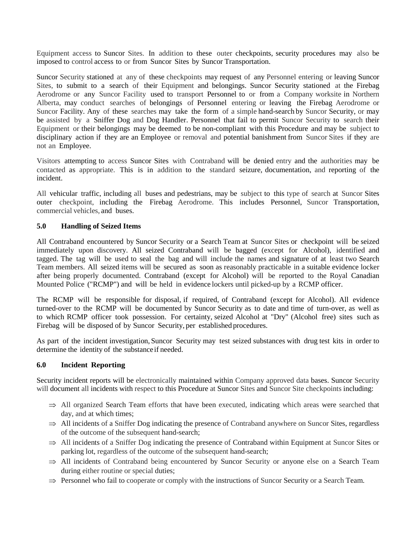Equipment access to Suncor Sites. In addition to these outer checkpoints, security procedures may also be imposed to control access to or from Suncor Sites by Suncor Transportation.

Suncor Security stationed at any of these checkpoints may request of any Personnel entering or leaving Suncor Sites, to submit to a search of their Equipment and belongings. Suncor Security stationed at the Firebag Aerodrome or any Suncor Facility used to transport Personnel to or from a Company worksite in Northern Alberta, may conduct searches of belongings of Personnel entering or leaving the Firebag Aerodrome or Suncor Facility. Any of these searches may take the form of a simple hand-search by Suncor Security, or may be assisted by a Sniffer Dog and Dog Handler. Personnel that fail to permit Suncor Security to search their Equipment or their belongings may be deemed to be non-compliant with this Procedure and may be subject to disciplinary action if they are an Employee or removal and potential banishment from Suncor Sites if they are not an Employee.

Visitors attempting to access Suncor Sites with Contraband will be denied entry and the authorities may be contacted as appropriate. This is in addition to the standard seizure, documentation, and reporting of the incident.

<span id="page-5-0"></span>All vehicular traffic, including all buses and pedestrians, may be subject to this type of search at Suncor Sites outer checkpoint, including the Firebag Aerodrome. This includes Personnel, Suncor Transportation, commercial vehicles, and buses.

#### **5.0 Handling of Seized Items**

All Contraband encountered by Suncor Security or a Search Team at Suncor Sites or checkpoint will be seized immediately upon discovery. All seized Contraband will be bagged (except for Alcohol), identified and tagged. The tag will be used to seal the bag and will include the names and signature of at least two Search Team members. All seized items will be secured as soon as reasonably practicable in a suitable evidence locker after being properly documented. Contraband (except for Alcohol) will be reported to the Royal Canadian Mounted Police ("RCMP") and will be held in evidence lockers until picked-up by a RCMP officer.

The RCMP will be responsible for disposal, if required, of Contraband (except for Alcohol). All evidence turned-over to the RCMP will be documented by Suncor Security as to date and time of turn-over, as well as to which RCMP officer took possession. For certainty, seized Alcohol at "Dry" (Alcohol free) sites such as Firebag will be disposed of by Suncor Security, per established procedures.

As part of the incident investigation, Suncor Security may test seized substances with drug test kits in order to determine the identity of the substance if needed.

#### **6.0 Incident Reporting**

Security incident reports will be electronically maintained within Company approved data bases. Suncor Security will document all incidents with respect to this Procedure at Suncor Sites and Suncor Site checkpoints including:

- <span id="page-5-1"></span>⇒ All organized Search Team efforts that have been executed, indicating which areas were searched that day, and at which times;
- $\Rightarrow$  All incidents of a Sniffer Dog indicating the presence of Contraband anywhere on Suncor Sites, regardless of the outcome of the subsequent hand-search;
- ⇒ All incidents of a Sniffer Dog indicating the presence of Contraband within Equipment at Suncor Sites or parking lot, regardless of the outcome of the subsequent hand-search;
- $\Rightarrow$  All incidents of Contraband being encountered by Suncor Security or anyone else on a Search Team during either routine or special duties;
- $\Rightarrow$  Personnel who fail to cooperate or comply with the instructions of Suncor Security or a Search Team.